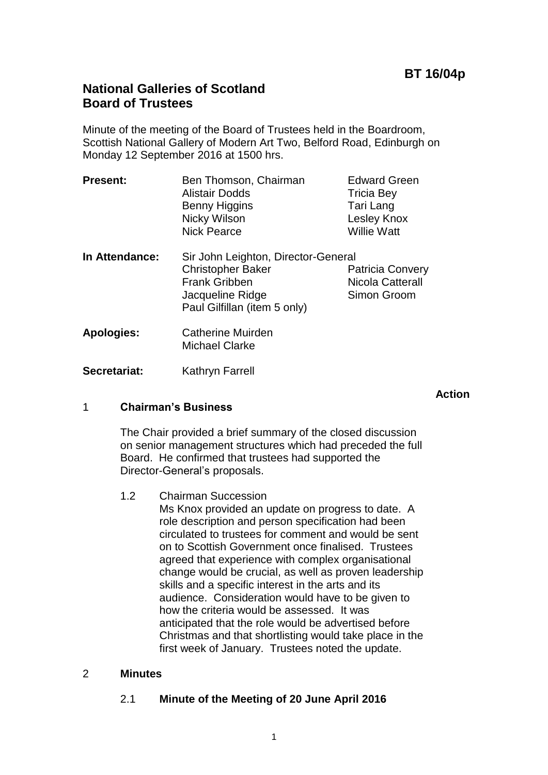## **National Galleries of Scotland Board of Trustees**

Minute of the meeting of the Board of Trustees held in the Boardroom, Scottish National Gallery of Modern Art Two, Belford Road, Edinburgh on Monday 12 September 2016 at 1500 hrs.

| <b>Present:</b>   | Ben Thomson, Chairman<br><b>Alistair Dodds</b><br>Benny Higgins<br>Nicky Wilson<br><b>Nick Pearce</b>                                       | <b>Edward Green</b><br><b>Tricia Bey</b><br>Tari Lang<br>Lesley Knox<br><b>Willie Watt</b> |
|-------------------|---------------------------------------------------------------------------------------------------------------------------------------------|--------------------------------------------------------------------------------------------|
| In Attendance:    | Sir John Leighton, Director-General<br><b>Christopher Baker</b><br><b>Frank Gribben</b><br>Jacqueline Ridge<br>Paul Gilfillan (item 5 only) | <b>Patricia Convery</b><br>Nicola Catterall<br>Simon Groom                                 |
| <b>Apologies:</b> | <b>Catherine Muirden</b>                                                                                                                    |                                                                                            |

- Michael Clarke
- **Secretariat:** Kathryn Farrell

**Action**

## 1 **Chairman's Business**

The Chair provided a brief summary of the closed discussion on senior management structures which had preceded the full Board. He confirmed that trustees had supported the Director-General's proposals.

1.2 Chairman Succession

Ms Knox provided an update on progress to date. A role description and person specification had been circulated to trustees for comment and would be sent on to Scottish Government once finalised. Trustees agreed that experience with complex organisational change would be crucial, as well as proven leadership skills and a specific interest in the arts and its audience. Consideration would have to be given to how the criteria would be assessed. It was anticipated that the role would be advertised before Christmas and that shortlisting would take place in the first week of January. Trustees noted the update.

## 2 **Minutes**

## 2.1 **Minute of the Meeting of 20 June April 2016**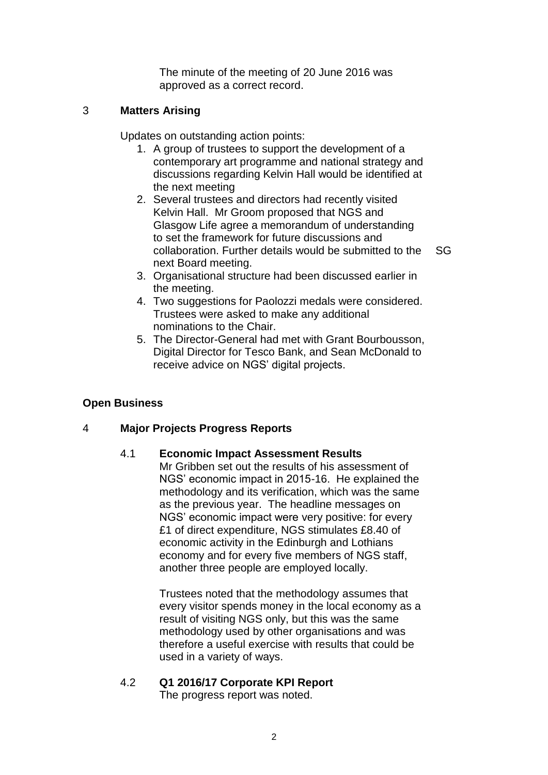The minute of the meeting of 20 June 2016 was approved as a correct record.

## 3 **Matters Arising**

Updates on outstanding action points:

- 1. A group of trustees to support the development of a contemporary art programme and national strategy and discussions regarding Kelvin Hall would be identified at the next meeting
- 2. Several trustees and directors had recently visited Kelvin Hall. Mr Groom proposed that NGS and Glasgow Life agree a memorandum of understanding to set the framework for future discussions and collaboration. Further details would be submitted to the next Board meeting.
	- SG
- 3. Organisational structure had been discussed earlier in the meeting.
- 4. Two suggestions for Paolozzi medals were considered. Trustees were asked to make any additional nominations to the Chair.
- 5. The Director-General had met with Grant Bourbousson, Digital Director for Tesco Bank, and Sean McDonald to receive advice on NGS' digital projects.

## **Open Business**

#### 4 **Major Projects Progress Reports**

#### 4.1 **Economic Impact Assessment Results**

Mr Gribben set out the results of his assessment of NGS' economic impact in 2015-16. He explained the methodology and its verification, which was the same as the previous year. The headline messages on NGS' economic impact were very positive: for every £1 of direct expenditure, NGS stimulates £8.40 of economic activity in the Edinburgh and Lothians economy and for every five members of NGS staff, another three people are employed locally.

Trustees noted that the methodology assumes that every visitor spends money in the local economy as a result of visiting NGS only, but this was the same methodology used by other organisations and was therefore a useful exercise with results that could be used in a variety of ways.

# 4.2 **Q1 2016/17 Corporate KPI Report**

The progress report was noted.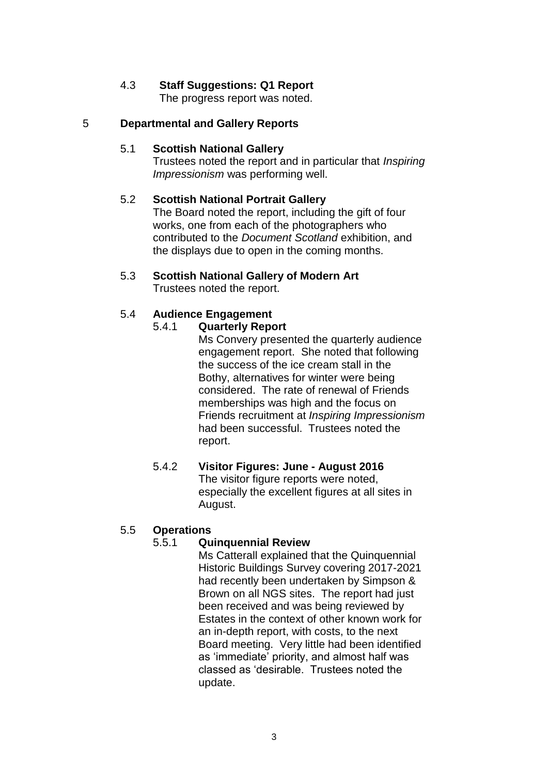## 4.3 **Staff Suggestions: Q1 Report**

The progress report was noted.

### 5 **Departmental and Gallery Reports**

#### 5.1 **Scottish National Gallery**

Trustees noted the report and in particular that *Inspiring Impressionism* was performing well.

#### 5.2 **Scottish National Portrait Gallery**

The Board noted the report, including the gift of four works, one from each of the photographers who contributed to the *Document Scotland* exhibition, and the displays due to open in the coming months.

5.3 **Scottish National Gallery of Modern Art** Trustees noted the report.

#### 5.4 **Audience Engagement**

#### 5.4.1 **Quarterly Report**

Ms Convery presented the quarterly audience engagement report. She noted that following the success of the ice cream stall in the Bothy, alternatives for winter were being considered. The rate of renewal of Friends memberships was high and the focus on Friends recruitment at *Inspiring Impressionism* had been successful. Trustees noted the report.

#### 5.4.2 **Visitor Figures: June - August 2016** The visitor figure reports were noted, especially the excellent figures at all sites in August.

#### 5.5 **Operations**

#### 5.5.1 **Quinquennial Review**

Ms Catterall explained that the Quinquennial Historic Buildings Survey covering 2017-2021 had recently been undertaken by Simpson & Brown on all NGS sites. The report had just been received and was being reviewed by Estates in the context of other known work for an in-depth report, with costs, to the next Board meeting. Very little had been identified as 'immediate' priority, and almost half was classed as 'desirable. Trustees noted the update.